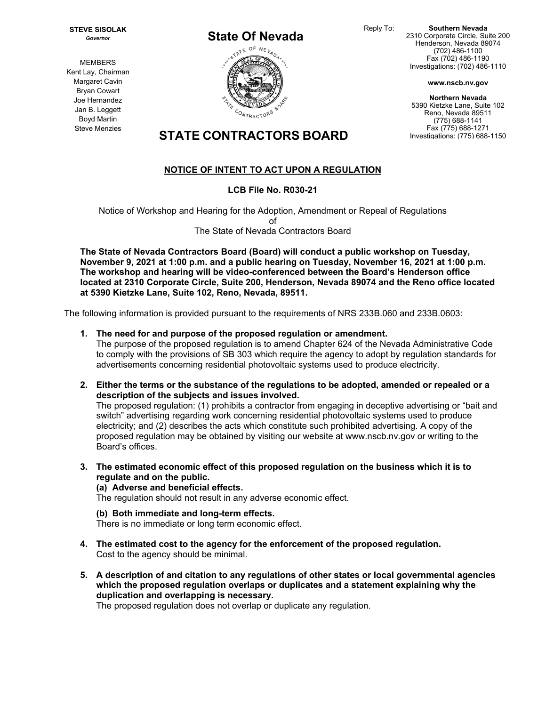Reply To: **Southern Nevada**  2310 Corporate Circle, Suite 200 Henderson, Nevada 89074 (702) 486-1100 Fax (702) 486-1190 Investigations: (702) 486-1110

**www.nscb.nv.gov**

**Northern Nevada**  5390 Kietzke Lane, Suite 102 Reno, Nevada 89511 (775) 688-1141 Fax (775) 688-1271 Investigations: (775) 688-1150

*Governor* **MEMBERS** 

**STEVE SISOLAK** 

Kent Lay, Chairman Margaret Cavin Bryan Cowart Joe Hernandez Jan B. Leggett Boyd Martin Steve Menzies

## **STATE CONTRACTORS BOARD**

## **NOTICE OF INTENT TO ACT UPON A REGULATION**

#### **LCB File No. R030-21**

Notice of Workshop and Hearing for the Adoption, Amendment or Repeal of Regulations of The State of Nevada Contractors Board

**The State of Nevada Contractors Board (Board) will conduct a public workshop on Tuesday, November 9, 2021 at 1:00 p.m. and a public hearing on Tuesday, November 16, 2021 at 1:00 p.m. The workshop and hearing will be video-conferenced between the Board's Henderson office located at 2310 Corporate Circle, Suite 200, Henderson, Nevada 89074 and the Reno office located at 5390 Kietzke Lane, Suite 102, Reno, Nevada, 89511.** 

The following information is provided pursuant to the requirements of NRS 233B.060 and 233B.0603:

**1. The need for and purpose of the proposed regulation or amendment.** 

The purpose of the proposed regulation is to amend Chapter 624 of the Nevada Administrative Code to comply with the provisions of SB 303 which require the agency to adopt by regulation standards for advertisements concerning residential photovoltaic systems used to produce electricity.

**2. Either the terms or the substance of the regulations to be adopted, amended or repealed or a description of the subjects and issues involved.** 

The proposed regulation: (1) prohibits a contractor from engaging in deceptive advertising or "bait and switch" advertising regarding work concerning residential photovoltaic systems used to produce electricity; and (2) describes the acts which constitute such prohibited advertising. A copy of the proposed regulation may be obtained by visiting our website at www.nscb.nv.gov or writing to the Board's offices.

**3. The estimated economic effect of this proposed regulation on the business which it is to regulate and on the public.**

#### **(a) Adverse and beneficial effects.**

The regulation should not result in any adverse economic effect.

**(b) Both immediate and long-term effects.** 

There is no immediate or long term economic effect.

- **4. The estimated cost to the agency for the enforcement of the proposed regulation.**  Cost to the agency should be minimal.
- **5. A description of and citation to any regulations of other states or local governmental agencies which the proposed regulation overlaps or duplicates and a statement explaining why the duplication and overlapping is necessary.**

The proposed regulation does not overlap or duplicate any regulation.

# **State Of Nevada TATE** CONTRACTORS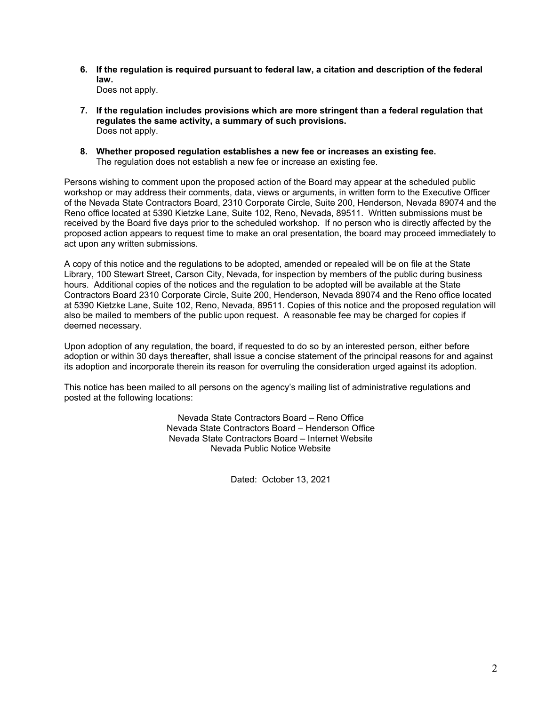**6. If the regulation is required pursuant to federal law, a citation and description of the federal law.** 

Does not apply.

- **7. If the regulation includes provisions which are more stringent than a federal regulation that regulates the same activity, a summary of such provisions.**  Does not apply.
- **8. Whether proposed regulation establishes a new fee or increases an existing fee.**  The regulation does not establish a new fee or increase an existing fee.

Persons wishing to comment upon the proposed action of the Board may appear at the scheduled public workshop or may address their comments, data, views or arguments, in written form to the Executive Officer of the Nevada State Contractors Board, 2310 Corporate Circle, Suite 200, Henderson, Nevada 89074 and the Reno office located at 5390 Kietzke Lane, Suite 102, Reno, Nevada, 89511. Written submissions must be received by the Board five days prior to the scheduled workshop. If no person who is directly affected by the proposed action appears to request time to make an oral presentation, the board may proceed immediately to act upon any written submissions.

A copy of this notice and the regulations to be adopted, amended or repealed will be on file at the State Library, 100 Stewart Street, Carson City, Nevada, for inspection by members of the public during business hours. Additional copies of the notices and the regulation to be adopted will be available at the State Contractors Board 2310 Corporate Circle, Suite 200, Henderson, Nevada 89074 and the Reno office located at 5390 Kietzke Lane, Suite 102, Reno, Nevada, 89511. Copies of this notice and the proposed regulation will also be mailed to members of the public upon request. A reasonable fee may be charged for copies if deemed necessary.

Upon adoption of any regulation, the board, if requested to do so by an interested person, either before adoption or within 30 days thereafter, shall issue a concise statement of the principal reasons for and against its adoption and incorporate therein its reason for overruling the consideration urged against its adoption.

This notice has been mailed to all persons on the agency's mailing list of administrative regulations and posted at the following locations:

> Nevada State Contractors Board – Reno Office Nevada State Contractors Board – Henderson Office Nevada State Contractors Board – Internet Website Nevada Public Notice Website

> > Dated: October 13, 2021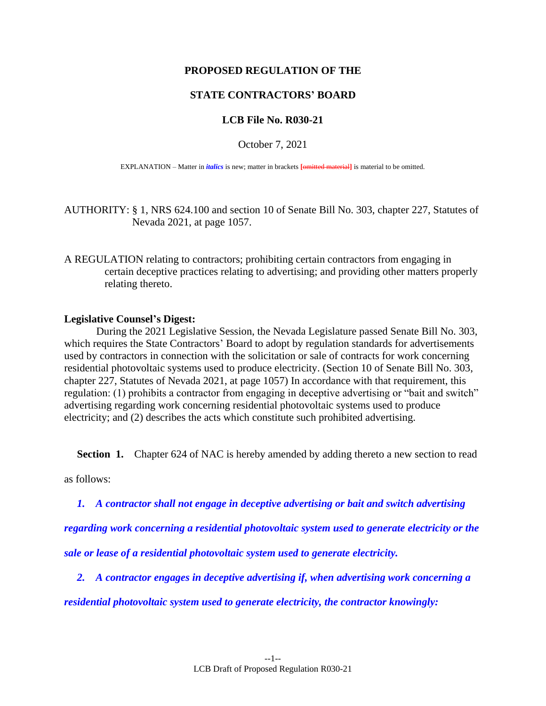#### **PROPOSED REGULATION OF THE**

#### **STATE CONTRACTORS' BOARD**

#### **LCB File No. R030-21**

October 7, 2021

EXPLANATION – Matter in *italics* is new; matter in brackets **[**omitted material**]** is material to be omitted.

AUTHORITY: § 1, NRS 624.100 and section 10 of Senate Bill No. 303, chapter 227, Statutes of Nevada 2021, at page 1057.

A REGULATION relating to contractors; prohibiting certain contractors from engaging in certain deceptive practices relating to advertising; and providing other matters properly relating thereto.

#### **Legislative Counsel's Digest:**

During the 2021 Legislative Session, the Nevada Legislature passed Senate Bill No. 303, which requires the State Contractors' Board to adopt by regulation standards for advertisements used by contractors in connection with the solicitation or sale of contracts for work concerning residential photovoltaic systems used to produce electricity. (Section 10 of Senate Bill No. 303, chapter 227, Statutes of Nevada 2021, at page 1057) In accordance with that requirement, this regulation: (1) prohibits a contractor from engaging in deceptive advertising or "bait and switch" advertising regarding work concerning residential photovoltaic systems used to produce electricity; and (2) describes the acts which constitute such prohibited advertising.

**Section 1.** Chapter 624 of NAC is hereby amended by adding thereto a new section to read

as follows:

*1. A contractor shall not engage in deceptive advertising or bait and switch advertising* 

*regarding work concerning a residential photovoltaic system used to generate electricity or the* 

*sale or lease of a residential photovoltaic system used to generate electricity.*

*2. A contractor engages in deceptive advertising if, when advertising work concerning a* 

*residential photovoltaic system used to generate electricity, the contractor knowingly:*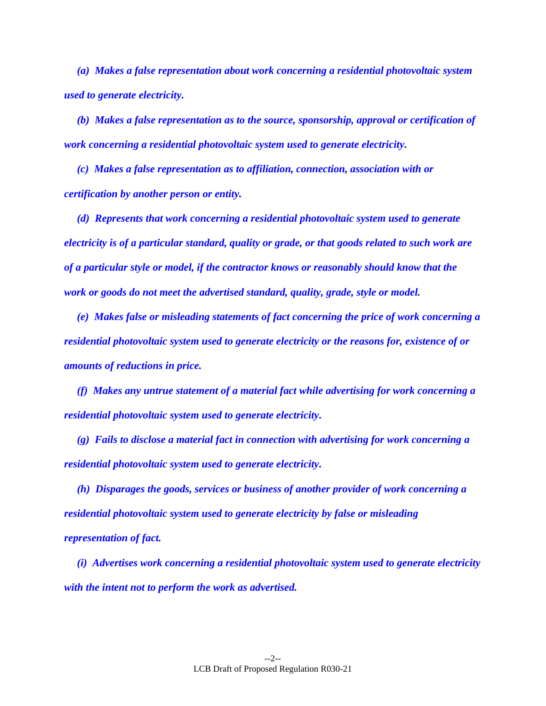*(a) Makes a false representation about work concerning a residential photovoltaic system used to generate electricity.*

*(b) Makes a false representation as to the source, sponsorship, approval or certification of work concerning a residential photovoltaic system used to generate electricity.*

*(c) Makes a false representation as to affiliation, connection, association with or certification by another person or entity.*

*(d) Represents that work concerning a residential photovoltaic system used to generate electricity is of a particular standard, quality or grade, or that goods related to such work are of a particular style or model, if the contractor knows or reasonably should know that the work or goods do not meet the advertised standard, quality, grade, style or model.*

*(e) Makes false or misleading statements of fact concerning the price of work concerning a residential photovoltaic system used to generate electricity or the reasons for, existence of or amounts of reductions in price.*

*(f) Makes any untrue statement of a material fact while advertising for work concerning a residential photovoltaic system used to generate electricity.*

*(g) Fails to disclose a material fact in connection with advertising for work concerning a residential photovoltaic system used to generate electricity.*

*(h) Disparages the goods, services or business of another provider of work concerning a residential photovoltaic system used to generate electricity by false or misleading representation of fact.*

*(i) Advertises work concerning a residential photovoltaic system used to generate electricity with the intent not to perform the work as advertised.*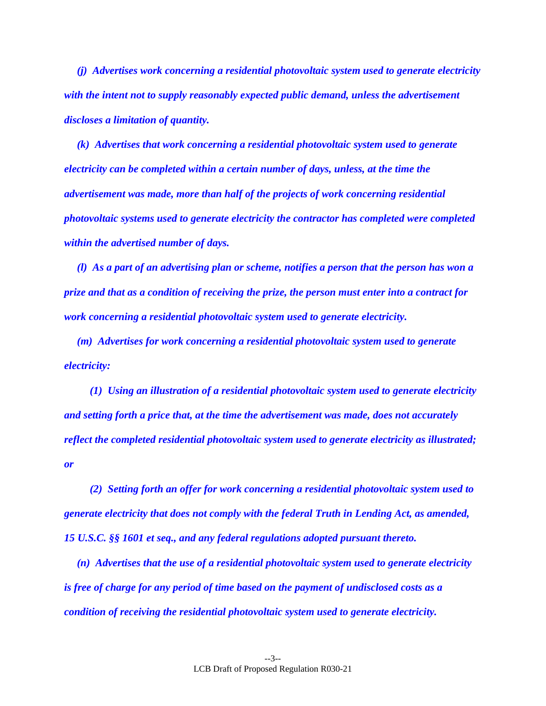*(j) Advertises work concerning a residential photovoltaic system used to generate electricity with the intent not to supply reasonably expected public demand, unless the advertisement discloses a limitation of quantity.*

*(k) Advertises that work concerning a residential photovoltaic system used to generate electricity can be completed within a certain number of days, unless, at the time the advertisement was made, more than half of the projects of work concerning residential photovoltaic systems used to generate electricity the contractor has completed were completed within the advertised number of days.*

*(l) As a part of an advertising plan or scheme, notifies a person that the person has won a prize and that as a condition of receiving the prize, the person must enter into a contract for work concerning a residential photovoltaic system used to generate electricity.*

*(m) Advertises for work concerning a residential photovoltaic system used to generate electricity:*

*(1) Using an illustration of a residential photovoltaic system used to generate electricity and setting forth a price that, at the time the advertisement was made, does not accurately reflect the completed residential photovoltaic system used to generate electricity as illustrated; or*

*(2) Setting forth an offer for work concerning a residential photovoltaic system used to generate electricity that does not comply with the federal Truth in Lending Act, as amended, 15 U.S.C. §§ 1601 et seq., and any federal regulations adopted pursuant thereto.*

*(n) Advertises that the use of a residential photovoltaic system used to generate electricity is free of charge for any period of time based on the payment of undisclosed costs as a condition of receiving the residential photovoltaic system used to generate electricity.*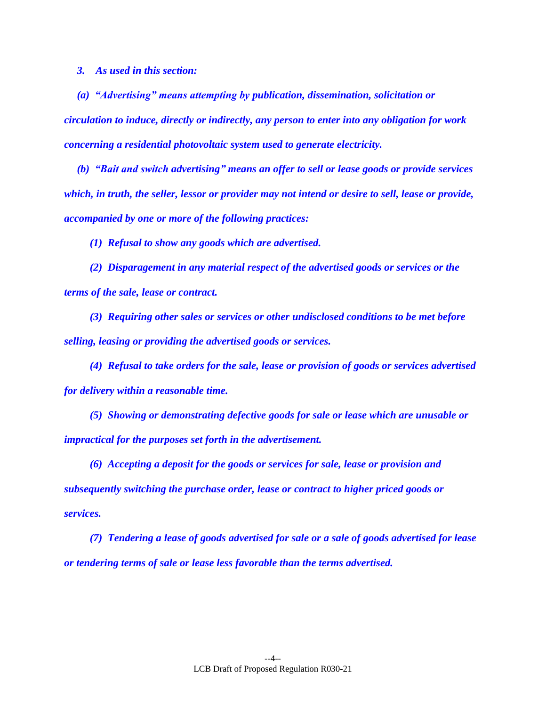*3. As used in this section:*

*(a) "Advertising" means attempting by publication, dissemination, solicitation or circulation to induce, directly or indirectly, any person to enter into any obligation for work concerning a residential photovoltaic system used to generate electricity.*

*(b) "Bait and switch advertising" means an offer to sell or lease goods or provide services which, in truth, the seller, lessor or provider may not intend or desire to sell, lease or provide, accompanied by one or more of the following practices:*

*(1) Refusal to show any goods which are advertised.*

*(2) Disparagement in any material respect of the advertised goods or services or the terms of the sale, lease or contract.*

*(3) Requiring other sales or services or other undisclosed conditions to be met before selling, leasing or providing the advertised goods or services.*

*(4) Refusal to take orders for the sale, lease or provision of goods or services advertised for delivery within a reasonable time.*

*(5) Showing or demonstrating defective goods for sale or lease which are unusable or impractical for the purposes set forth in the advertisement.*

*(6) Accepting a deposit for the goods or services for sale, lease or provision and subsequently switching the purchase order, lease or contract to higher priced goods or services.*

*(7) Tendering a lease of goods advertised for sale or a sale of goods advertised for lease or tendering terms of sale or lease less favorable than the terms advertised.*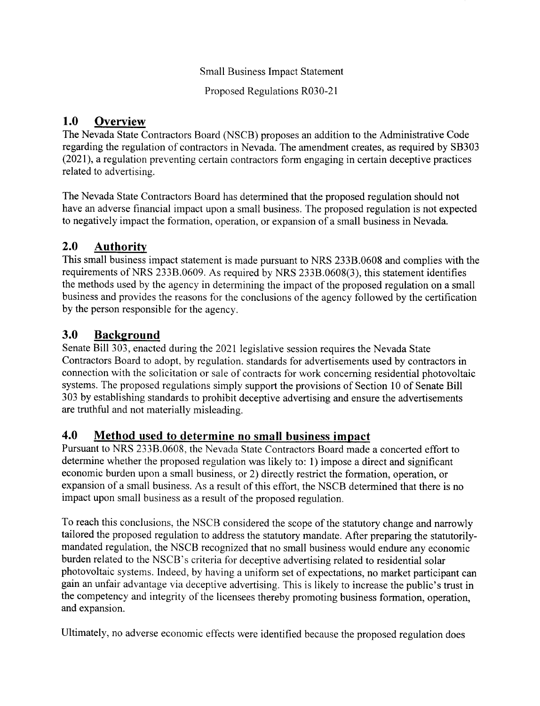### Small Business Impact Statement

Proposed Regulations R030-21

#### 1.0 **Overview**

The Nevada State Contractors Board (NSCB) proposes an addition to the Administrative Code regarding the regulation of contractors in Nevada. The amendment creates, as required by SB303 (2021), a regulation preventing certain contractors form engaging in certain deceptive practices related to advertising.

The Nevada State Contractors Board has determined that the proposed regulation should not have an adverse financial impact upon a small business. The proposed regulation is not expected to negatively impact the formation, operation, or expansion of a small business in Nevada.

## 2.0 Authoritv

This small business impact statement is made pursuant to NRS 2338.0608 and complies with the requirements of NRS 2338.0609. As required by NRS 2338.0608(3), this statement identifres the methods used by the agency in determining the impact of the proposed regulation on a small business and provides the reasons for the conclusions of the agency followed by the certification by the person responsible for the agency.

## 3.0 Background

Senate Bill 303, enacted during the 2021 legislative session requires the Nevada State Contractors Board to adopt. by regulation. standards for advertisements used by contractors in connection with the solicitation or sale of contracts for work concerning residential photovoltaic systems. The proposed regulations simply support the provisions of Section l0 of Senate Bill 303 by establishing standards to prohibit deceptive advertising and ensure the advertisements are truthful and not materially misleading.

## 4.0 Method used to determine no small business impact

Pursuant to NRS 2338.0608, the Nevada State Contractors Board made a concerted effort to determine whether the proposed regulation was likely to: l) impose a direct and significant economic burden upon a small business, or 2) directly restrict the formation, operation, or expansion of a small business. As a result of this effort, the NSCB determined that there is no impact upon small business as a result of the proposed regulation.

To reach this conclusions, the NSCB considered the scope of the statutory change and narrowly tailored the proposed regulation to address the statutory mandate. After preparing the statutorilymandated regulation, the NSCB recognized that no small business would endure any economic burden related to the NSCB's criteria for deceptive advertising related to residential solar photovoltaic systems. Indeed, by having a uniform set of expectations, no market participant can gain an unfair advantage via deceptive advertising. This is likely to increase the public's trust in the competency and integrity of the licensees thereby promoting business formation, operation, and expansion.

Ultimately, no adverse economic effects were identified because the proposed regulation does